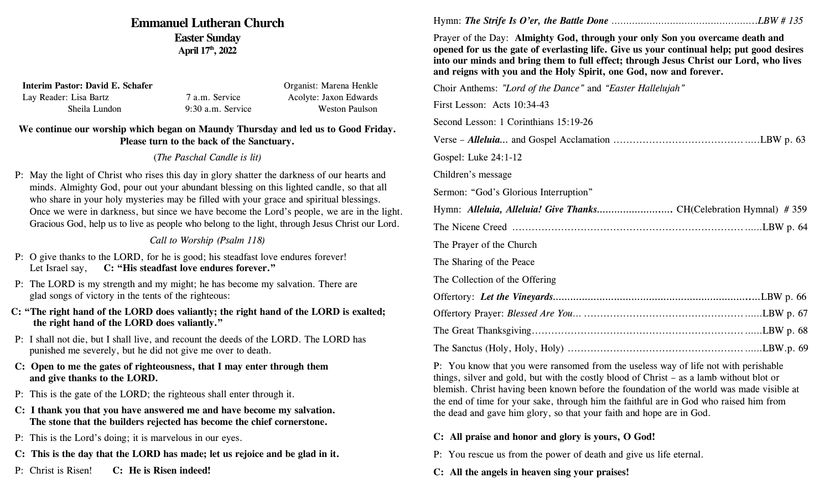# **Emmanuel Lutheran Church Easter Sunday April 17th, 2022**

| Interim Pastor: David E. Schafer |                   | Organist: Marena Henkle |
|----------------------------------|-------------------|-------------------------|
| Lay Reader: Lisa Bartz           | 7 a.m. Service    | Acolyte: Jaxon Edwards  |
| Sheila Lundon                    | 9:30 a.m. Service | Weston Paulson          |

# **We continue our worship which began on Maundy Thursday and led us to Good Friday. Please turn to the back of the Sanctuary.**

# (*The Paschal Candle is lit)*

P: May the light of Christ who rises this day in glory shatter the darkness of our hearts and minds. Almighty God, pour out your abundant blessing on this lighted candle, so that all who share in your holy mysteries may be filled with your grace and spiritual blessings. Once we were in darkness, but since we have become the Lord's people, we are in the light. Gracious God, help us to live as people who belong to the light, through Jesus Christ our Lord.

# *Call to Worship (Psalm 118)*

- P: O give thanks to the LORD, for he is good; his steadfast love endures forever! Let Israel say, **C: "His steadfast love endures forever."**
- P: The LORD is my strength and my might; he has become my salvation. There are glad songs of victory in the tents of the righteous:
- **C: "The right hand of the LORD does valiantly; the right hand of the LORD is exalted; the right hand of the LORD does valiantly."**
- P: I shall not die, but I shall live, and recount the deeds of the LORD. The LORD has punished me severely, but he did not give me over to death.
- **C: Open to me the gates of righteousness, that I may enter through them and give thanks to the LORD.**
- P: This is the gate of the LORD; the righteous shall enter through it.
- **C: I thank you that you have answered me and have become my salvation. The stone that the builders rejected has become the chief cornerstone.**
- P: This is the Lord's doing; it is marvelous in our eyes.
- **C: This is the day that the LORD has made; let us rejoice and be glad in it.**
- P: Christ is Risen! **C: He is Risen indeed!**

Hymn: *The Strife Is O'er, the Battle Done* …………………………………………..*LBW # 135*

Prayer of the Day: **Almighty God, through your only Son you overcame death and opened for us the gate of everlasting life. Give us your continual help; put good desires into our minds and bring them to full effect; through Jesus Christ our Lord, who lives and reigns with you and the Holy Spirit, one God, now and forever.**

Choir Anthems: *"Lord of the Dance"* and *"Easter Hallelujah"* First Lesson: Acts 10:34-43 Second Lesson: 1 Corinthians 15:19-26 Verse – *Alleluia…* and Gospel Acclamation ........................................…..LBW p. 63 Gospel: Luke 24:1-12 Children's message Sermon: "God's Glorious Interruption" Hymn: *Alleluia, Alleluia! Give Thanks………………….….* CH(Celebration Hymnal) # 359 The Nicene Creed .......................................................................……LBW p. 64 The Prayer of the Church The Sharing of the Peace The Collection of the Offering Offertory: *Let the Vineyards…………………………………………………………..…*LBW p. 66 Offertory Prayer: *Blessed Are You*… .................................................……LBW p. 67 The Great Thanksgiving.................................................................……LBW p. 68 The Sanctus (Holy, Holy, Holy) ......................................................……LBW.p. 69

P: You know that you were ransomed from the useless way of life not with perishable things, silver and gold, but with the costly blood of Christ – as a lamb without blot or blemish. Christ having been known before the foundation of the world was made visible at the end of time for your sake, through him the faithful are in God who raised him from the dead and gave him glory, so that your faith and hope are in God.

- **C: All praise and honor and glory is yours, O God!**
- P: You rescue us from the power of death and give us life eternal.
- **C: All the angels in heaven sing your praises!**